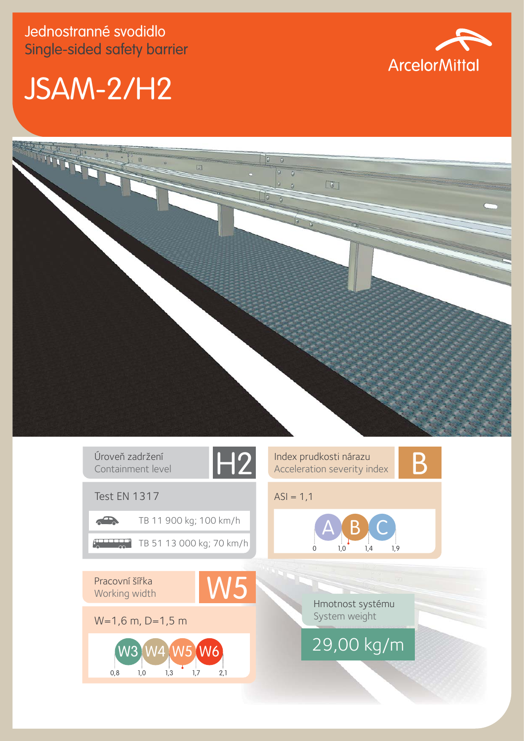## JSAM-2/H2





Úroveň zadržení<br>Containment level<br>**H2** Containment level



Index prudkosti nárazu<br>Acceleration severity index



 $ASI = 1,1$ 



Pracovní šířka Working width

Test EN 1317

 $\sqrt{2}$ 

W=1,6 m, D=1,5 m W5

TB 11 900 kg; 100 km/h

TB 51 13 000 kg; 70 km/h

0,8 1,0 1,3 1,7 2,1

Hmotnost systému System weight

W<sub>3</sub> W<sub>4</sub> W<sub>5</sub> W<sub>6</sub> 29,00 kg/m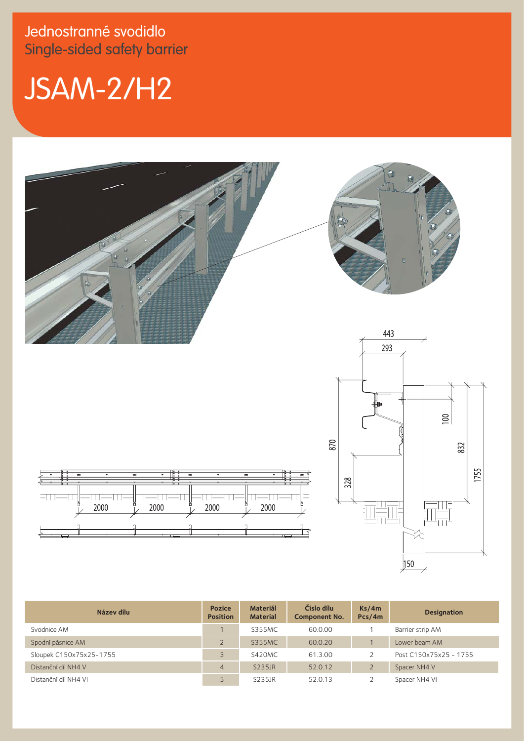Jednostranné svodidlo Single-sided safety barrier

## JSAM-2/H2



| Název dílu              | <b>Pozice</b><br><b>Position</b> | <b>Materiál</b><br><b>Material</b> | Číslo dílu<br><b>Component No.</b> | Ks/4m<br>Pcs/4m | <b>Designation</b>     |
|-------------------------|----------------------------------|------------------------------------|------------------------------------|-----------------|------------------------|
| Svodnice AM             |                                  | <b>S355MC</b>                      | 60.0.00                            |                 | Barrier strip AM       |
| Spodní pásnice AM       |                                  | <b>S355MC</b>                      | 60.0.20                            |                 | Lower beam AM          |
| Sloupek C150x75x25-1755 |                                  | S420MC                             | 61.3.00                            |                 | Post C150x75x25 - 1755 |
| Distanční díl NH4 V     | $\overline{4}$                   | S235JR                             | 52.0.12                            |                 | Spacer NH4 V           |
| Distanční díl NH4 VI    |                                  | S235JR                             | 52.0.13                            |                 | Spacer NH4 VI          |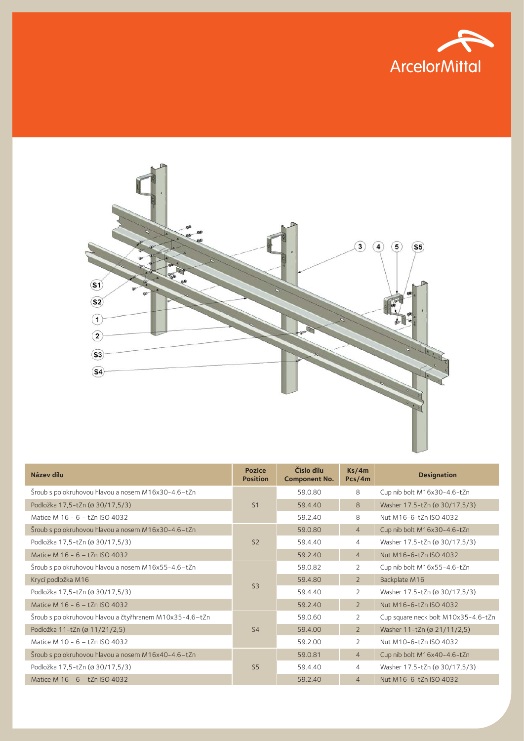



| Název dílu                                              | <b>Pozice</b><br><b>Position</b> | Číslo dílu<br><b>Component No.</b> | Ks/4m<br>Pcs/4m | <b>Designation</b>                  |
|---------------------------------------------------------|----------------------------------|------------------------------------|-----------------|-------------------------------------|
| Šroub s polokruhovou hlavou a nosem M16x30-4.6-tZn      |                                  | 59.0.80                            | 8               | Cup nib bolt M16x30-4.6-tZn         |
| Podložka 17,5-tZn (ø 30/17,5/3)                         | S <sub>1</sub>                   | 59.4.40                            | 8               | Washer 17.5-tZn (ø 30/17,5/3)       |
| Matice M 16 - 6 - tZn ISO 4032                          |                                  | 59.2.40                            | 8               | Nut M16-6-tZn ISO 4032              |
| Šroub s polokruhovou hlavou a nosem M16x30-4.6-tZn      |                                  | 59.0.80                            | $\overline{4}$  | Cup nib bolt M16x30-4.6-tZn         |
| Podložka 17,5-tZn (ø 30/17,5/3)                         | S <sub>2</sub>                   | 59.4.40                            | $\overline{4}$  | Washer 17.5-tZn (ø 30/17,5/3)       |
| Matice M 16 - 6 - tZn ISO 4032                          |                                  | 59.2.40                            | $\overline{4}$  | Nut M16-6-tZn ISO 4032              |
| Šroub s polokruhovou hlavou a nosem M16x55-4.6-tZn      | S <sub>3</sub>                   | 59.0.82                            | 2               | Cup nib bolt M16x55-4.6-tZn         |
| Krycí podložka M16                                      |                                  | 59.4.80                            | $\overline{2}$  | Backplate M16                       |
| Podložka 17,5-tZn (ø 30/17,5/3)                         |                                  | 59.4.40                            | 2               | Washer 17.5-tZn (ø 30/17,5/3)       |
| Matice M 16 - 6 - tZn ISO 4032                          |                                  | 59.2.40                            | $\overline{2}$  | Nut M16-6-tZn ISO 4032              |
| Šroub s polokruhovou hlavou a čtyřhranem M10x35-4.6-tZn |                                  | 59.0.60                            | 2               | Cup square neck bolt M10x35-4.6-tZn |
| Podložka 11-tZn (ø 11/21/2,5)                           | S <sub>4</sub>                   | 59.4.00                            | $\overline{2}$  | Washer 11-tZn (ø 21/11/2,5)         |
| Matice M 10 - 6 - tZn ISO 4032                          |                                  | 59.2.00                            | $\overline{2}$  | Nut M10-6-tZn ISO 4032              |
| Šroub s polokruhovou hlavou a nosem M16x40-4.6-tZn      |                                  | 59.0.81                            | $\overline{4}$  | Cup nib bolt M16x40-4.6-tZn         |
| Podložka 17,5-tZn (ø 30/17,5/3)                         | S <sub>5</sub>                   | 59.4.40                            | 4               | Washer 17.5-tZn (ø 30/17,5/3)       |
| Matice M 16 - 6 - tZn ISO 4032                          |                                  | 59.2.40                            | $\overline{4}$  | Nut M16-6-tZn ISO 4032              |